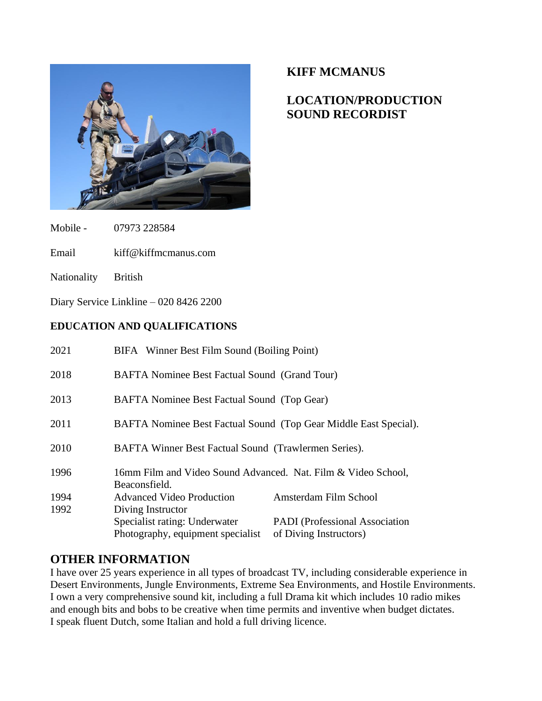

# **KIFF MCMANUS**

# **LOCATION/PRODUCTION SOUND RECORDIST**

Mobile - 07973 228584

Email kiff@kiffmcmanus.com

Nationality British

Diary Service Linkline – 020 8426 2200

### **EDUCATION AND QUALIFICATIONS**

| 2021 | BIFA Winner Best Film Sound (Boiling Point)                                    |
|------|--------------------------------------------------------------------------------|
| 2018 | BAFTA Nominee Best Factual Sound (Grand Tour)                                  |
| 2013 | BAFTA Nominee Best Factual Sound (Top Gear)                                    |
| 2011 | BAFTA Nominee Best Factual Sound (Top Gear Middle East Special).               |
| 2010 | BAFTA Winner Best Factual Sound (Trawlermen Series).                           |
| 1996 | 16mm Film and Video Sound Advanced. Nat. Film & Video School,<br>Beaconsfield. |
| 1994 | Amsterdam Film School<br><b>Advanced Video Production</b>                      |
| 1992 | Diving Instructor                                                              |
|      | Specialist rating: Underwater<br><b>PADI</b> (Professional Association         |
|      | Photography, equipment specialist<br>of Diving Instructors)                    |

# **OTHER INFORMATION**

I have over 25 years experience in all types of broadcast TV, including considerable experience in Desert Environments, Jungle Environments, Extreme Sea Environments, and Hostile Environments. I own a very comprehensive sound kit, including a full Drama kit which includes 10 radio mikes and enough bits and bobs to be creative when time permits and inventive when budget dictates. I speak fluent Dutch, some Italian and hold a full driving licence.